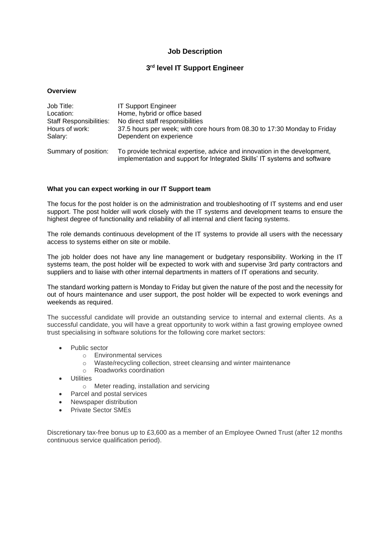# **Job Description**

# **3 rd level IT Support Engineer**

| Job Title:                     | <b>IT Support Engineer</b>                                                                                                                             |
|--------------------------------|--------------------------------------------------------------------------------------------------------------------------------------------------------|
| Location:                      | Home, hybrid or office based                                                                                                                           |
| <b>Staff Responsibilities:</b> | No direct staff responsibilities                                                                                                                       |
| Hours of work:                 | 37.5 hours per week; with core hours from 08.30 to 17:30 Monday to Friday                                                                              |
| Salary:                        | Dependent on experience                                                                                                                                |
| Summary of position:           | To provide technical expertise, advice and innovation in the development,<br>implementation and support for Integrated Skills' IT systems and software |

### **What you can expect working in our IT Support team**

The focus for the post holder is on the administration and troubleshooting of IT systems and end user support. The post holder will work closely with the IT systems and development teams to ensure the highest degree of functionality and reliability of all internal and client facing systems.

The role demands continuous development of the IT systems to provide all users with the necessary access to systems either on site or mobile.

The job holder does not have any line management or budgetary responsibility. Working in the IT systems team, the post holder will be expected to work with and supervise 3rd party contractors and suppliers and to liaise with other internal departments in matters of IT operations and security.

The standard working pattern is Monday to Friday but given the nature of the post and the necessity for out of hours maintenance and user support, the post holder will be expected to work evenings and weekends as required.

The successful candidate will provide an outstanding service to internal and external clients. As a successful candidate, you will have a great opportunity to work within a fast growing employee owned trust specialising in software solutions for the following core market sectors:

- Public sector
	- o Environmental services
	- o Waste/recycling collection, street cleansing and winter maintenance
	- o Roadworks coordination
- **Utilities** 
	- o Meter reading, installation and servicing
- Parcel and postal services
- Newspaper distribution
- Private Sector SMEs

Discretionary tax-free bonus up to £3,600 as a member of an Employee Owned Trust (after 12 months continuous service qualification period).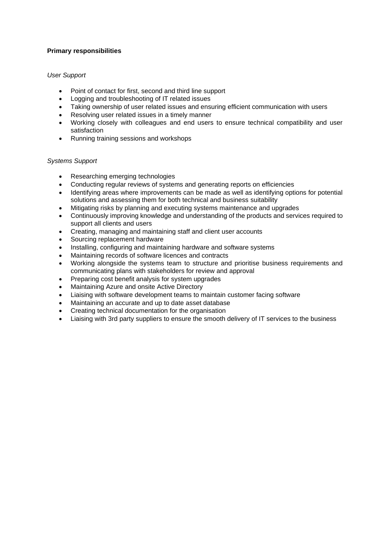## **Primary responsibilities**

## *User Support*

- Point of contact for first, second and third line support
- Logging and troubleshooting of IT related issues
- Taking ownership of user related issues and ensuring efficient communication with users
- Resolving user related issues in a timely manner
- Working closely with colleagues and end users to ensure technical compatibility and user satisfaction
- Running training sessions and workshops

### *Systems Support*

- Researching emerging technologies
- Conducting regular reviews of systems and generating reports on efficiencies
- Identifying areas where improvements can be made as well as identifying options for potential solutions and assessing them for both technical and business suitability
- Mitigating risks by planning and executing systems maintenance and upgrades
- Continuously improving knowledge and understanding of the products and services required to support all clients and users
- Creating, managing and maintaining staff and client user accounts
- Sourcing replacement hardware
- Installing, configuring and maintaining hardware and software systems
- Maintaining records of software licences and contracts
- Working alongside the systems team to structure and prioritise business requirements and communicating plans with stakeholders for review and approval
- Preparing cost benefit analysis for system upgrades
- Maintaining Azure and onsite Active Directory
- Liaising with software development teams to maintain customer facing software
- Maintaining an accurate and up to date asset database
- Creating technical documentation for the organisation
- Liaising with 3rd party suppliers to ensure the smooth delivery of IT services to the business